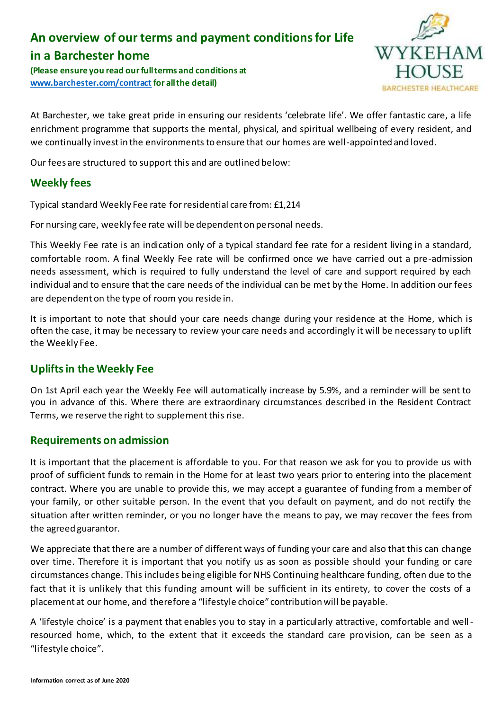# **An overview of our terms and payment conditions for Life**

# **in a Barchester home**

**(Please ensure you read our full terms and conditions at [www.barchester.com/contract](http://www.barchester.com/contract) for all the detail)**



At Barchester, we take great pride in ensuring our residents 'celebrate life'. We offer fantastic care, a life enrichment programme that supports the mental, physical, and spiritual wellbeing of every resident, and we continually invest in the environments to ensure that our homes are well-appointed and loved.

Our fees are structured to support this and are outlined below:

# **Weekly fees**

Typical standard Weekly Fee rate for residential care from: £1,214

For nursing care, weekly fee rate will be dependent on personal needs.

This Weekly Fee rate is an indication only of a typical standard fee rate for a resident living in a standard, comfortable room. A final Weekly Fee rate will be confirmed once we have carried out a pre-admission needs assessment, which is required to fully understand the level of care and support required by each individual and to ensure that the care needs of the individual can be met by the Home. In addition our fees are dependent on the type of room you reside in.

It is important to note that should your care needs change during your residence at the Home, which is often the case, it may be necessary to review your care needs and accordingly it will be necessary to uplift the Weekly Fee.

# **Uplifts in the Weekly Fee**

On 1st April each year the Weekly Fee will automatically increase by 5.9%, and a reminder will be sent to you in advance of this. Where there are extraordinary circumstances described in the Resident Contract Terms, we reserve the right to supplement this rise.

#### **Requirements on admission**

It is important that the placement is affordable to you. For that reason we ask for you to provide us with proof of sufficient funds to remain in the Home for at least two years prior to entering into the placement contract. Where you are unable to provide this, we may accept a guarantee of funding from a member of your family, or other suitable person. In the event that you default on payment, and do not rectify the situation after written reminder, or you no longer have the means to pay, we may recover the fees from the agreed guarantor.

We appreciate that there are a number of different ways of funding your care and also that this can change over time. Therefore it is important that you notify us as soon as possible should your funding or care circumstances change. This includes being eligible for NHS Continuing healthcare funding, often due to the fact that it is unlikely that this funding amount will be sufficient in its entirety, to cover the costs of a placement at our home, and therefore a "lifestyle choice" contribution will be payable.

A 'lifestyle choice' is a payment that enables you to stay in a particularly attractive, comfortable and wellresourced home, which, to the extent that it exceeds the standard care provision, can be seen as a "lifestyle choice".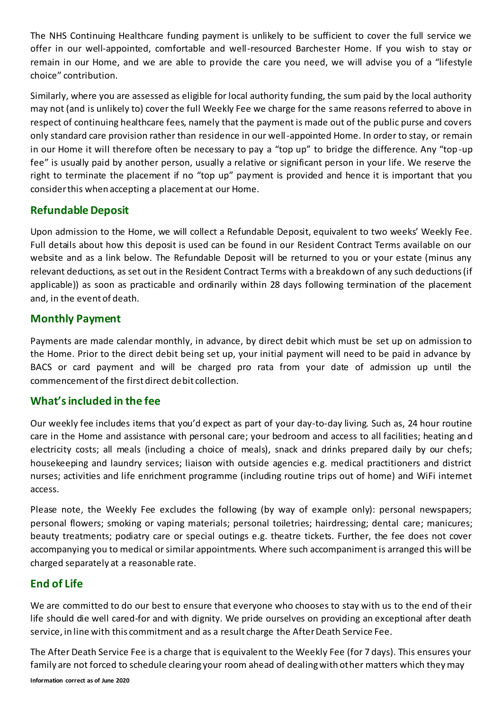The NHS Continuing Healthcare funding payment is unlikely to be sufficient to cover the full service we offer in our well-appointed, comfortable and well-resourced Barchester Home. If you wish to stay or remain in our Home, and we are able to provide the care you need, we will advise you of a "lifestyle choice" contribution.

Similarly, where you are assessed as eligible for local authority funding, the sum paid by the local authority may not (and is unlikely to) cover the full Weekly Fee we charge for the same reasons referred to above in respect of continuing healthcare fees, namely that the payment is made out of the public purse and covers only standard care provision rather than residence in our well-appointed Home. In order to stay, or remain in our Home it will therefore often be necessary to pay a "top up" to bridge the difference. Any "top-up fee" is usually paid by another person, usually a relative or significant person in your life. We reserve the right to terminate the placement if no "top up" payment is provided and hence it is important that you consider this when accepting a placement at our Home.

### **Refundable Deposit**

Upon admission to the Home, we will collect a Refundable Deposit, equivalent to two weeks' Weekly Fee. Full details about how this deposit is used can be found in our Resident Contract Terms available on our website and as a link below. The Refundable Deposit will be returned to you or your estate (minus any relevant deductions, as set out in the Resident Contract Terms with a breakdown of any such deductions (if applicable)) as soon as practicable and ordinarily within 28 days following termination of the placement and, in the event of death.

#### **Monthly Payment**

Payments are made calendar monthly, in advance, by direct debit which must be set up on admission to the Home. Prior to the direct debit being set up, your initial payment will need to be paid in advance by BACS or card payment and will be charged pro rata from your date of admission up until the commencement of the first direct debit collection.

#### **What's included in the fee**

Our weekly fee includes items that you'd expect as part of your day-to-day living. Such as, 24 hour routine care in the Home and assistance with personal care; your bedroom and access to all facilities; heating and electricity costs; all meals (including a choice of meals), snack and drinks prepared daily by our chefs; housekeeping and laundry services; liaison with outside agencies e.g. medical practitioners and district nurses; activities and life enrichment programme (including routine trips out of home) and WiFi intemet access.

Please note, the Weekly Fee excludes the following (by way of example only): personal newspapers; personal flowers; smoking or vaping materials; personal toiletries; hairdressing; dental care; manicures; beauty treatments; podiatry care or special outings e.g. theatre tickets. Further, the fee does not cover accompanying you to medical or similar appointments. Where such accompaniment is arranged this will be charged separately at a reasonable rate.

# **End of Life**

We are committed to do our best to ensure that everyone who chooses to stay with us to the end of their life should die well cared-for and with dignity. We pride ourselves on providing an exceptional after death service, in line with this commitment and as a result charge the After Death Service Fee.

The After Death Service Fee is a charge that is equivalent to the Weekly Fee (for 7 days). This ensures your family are not forced to schedule clearing your room ahead of dealing with other matters which they may